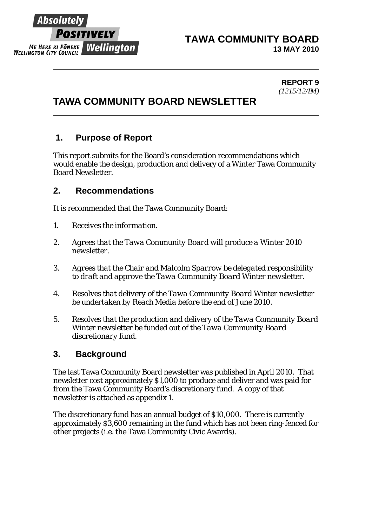

#### **TAWA COMMUNITY BOARD 13 MAY 2010**

 **REPORT 9**  *(1215/12/IM)* 

# **TAWA COMMUNITY BOARD NEWSLETTER**

# **1. Purpose of Report**

This report submits for the Board's consideration recommendations which would enable the design, production and delivery of a Winter Tawa Community Board Newsletter.

# **2. Recommendations**

It is recommended that the Tawa Community Board:

- *1. Receives the information.*
- *2. Agrees that the Tawa Community Board will produce a Winter 2010 newsletter.*
- *3. Agrees that the Chair and Malcolm Sparrow be delegated responsibility to draft and approve the Tawa Community Board Winter newsletter.*
- *4. Resolves that delivery of the Tawa Community Board Winter newsletter be undertaken by Reach Media before the end of June 2010.*
- *5. Resolves that the production and delivery of the Tawa Community Board Winter newsletter be funded out of the Tawa Community Board discretionary fund.*

# **3. Background**

The last Tawa Community Board newsletter was published in April 2010. That newsletter cost approximately \$1,000 to produce and deliver and was paid for from the Tawa Community Board's discretionary fund. A copy of that newsletter is attached as appendix 1.

The discretionary fund has an annual budget of \$10,000. There is currently approximately \$3,600 remaining in the fund which has not been ring-fenced for other projects (i.e. the Tawa Community Civic Awards).